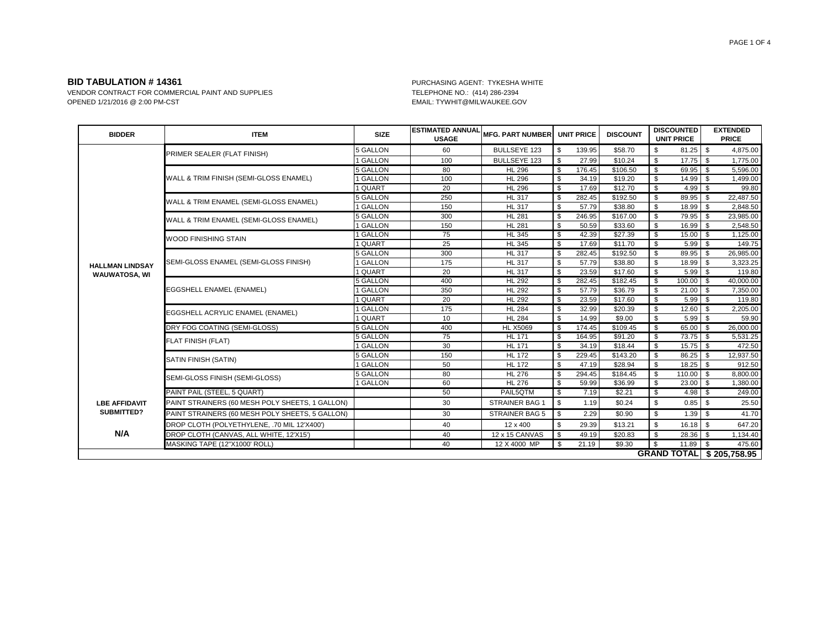VENDOR CONTRACT FOR COMMERCIAL PAINT AND SUPPLIES<br>OPENED 1/21/2016 @ 2:00 PM-CST CONTRACT AND SUPPLIES TELEPHONE NO.: (414) 286-2394

EMAIL: TYWHIT@MILWAUKEE.GOV

| <b>BIDDER</b>                      | <b>ITEM</b>                                     | <b>SIZE</b>     | <b>ESTIMATED ANNUAL</b><br><b>USAGE</b> | <b>MFG. PART NUMBER</b> |              | <b>UNIT PRICE</b> | <b>DISCOUNT</b>      | <b>DISCOUNTED</b><br><b>UNIT PRICE</b> |      | <b>EXTENDED</b><br><b>PRICE</b> |
|------------------------------------|-------------------------------------------------|-----------------|-----------------------------------------|-------------------------|--------------|-------------------|----------------------|----------------------------------------|------|---------------------------------|
|                                    | PRIMER SEALER (FLAT FINISH)                     | 5 GALLON        | 60                                      | <b>BULLSEYE 123</b>     | \$           | 139.95            | \$58.70              | \$<br>81.25                            | - \$ | 4,875.00                        |
|                                    |                                                 | 1 GALLON        | 100                                     | <b>BULLSEYE 123</b>     | \$           | 27.99             | \$10.24              | \$                                     |      | 1,775.00                        |
|                                    |                                                 | <b>5 GALLON</b> | 80                                      | <b>HL 296</b>           | \$           | 176.45            | \$106.50             | \$<br>69.95                            | \$   | 5.596.00                        |
|                                    | WALL & TRIM FINISH (SEMI-GLOSS ENAMEL)          | 1 GALLON        | 100                                     | <b>HL 296</b>           | \$           | 34.19             | \$19.20              | \$<br>14.99                            | \$.  | 1,499.00                        |
|                                    |                                                 | 1 QUART         | 20                                      | <b>HL 296</b>           | \$           | 17.69             | \$12.70              | \$<br>4.99                             | - \$ | 99.80                           |
|                                    | WALL & TRIM ENAMEL (SEMI-GLOSS ENAMEL)          | 5 GALLON        | 250                                     | <b>HL 317</b>           | \$           | 282.45            | \$192.50             | \$<br>89.95                            | - \$ | 22,487.50                       |
|                                    |                                                 | 1 GALLON        | 150                                     | <b>HL 317</b>           | \$           | 57.79             | \$38.80              | \$<br>$18.99$ \$                       |      | 2,848.50                        |
|                                    | WALL & TRIM ENAMEL (SEMI-GLOSS ENAMEL)          | <b>5 GALLON</b> | 300                                     | <b>HL 281</b>           | \$           | 246.95            | \$167.00             | \$<br>$79.95$ \ \$                     |      | 23,985.00                       |
|                                    |                                                 | 1 GALLON        | 150                                     | <b>HL 281</b>           | \$           | 50.59             | \$33.60              | \$<br>$16.99$ \$                       |      | 2,548.50                        |
|                                    | <b><i>NOOD FINISHING STAIN</i></b>              | 1 GALLON        | 75                                      | <b>HL 345</b>           | \$           | 42.39             | \$27.39              | \$<br>$15.00$ \$                       |      | 1,125.00                        |
|                                    |                                                 | 1 QUART         | 25                                      | <b>HL 345</b>           | \$           | 17.69             | \$11.70              | \$<br>5.99                             | - \$ | 149.75                          |
|                                    | SEMI-GLOSS ENAMEL (SEMI-GLOSS FINISH)           | <b>5 GALLON</b> | 300                                     | <b>HL 317</b>           | \$           | 282.45            | $\overline{$}192.50$ | \$<br>89.95                            | - \$ | 26,985.00                       |
| <b>HALLMAN LINDSAY</b>             |                                                 | <b>GALLON</b>   | 175                                     | <b>HL 317</b>           | \$           | 57.79             | \$38.80              | \$<br>18.99                            | \$   | 3,323.25                        |
| <b>WAUWATOSA, WI</b>               |                                                 | 1 QUART         | 20                                      | <b>HL 317</b>           | $\mathbb{S}$ | 23.59             | \$17.60              | \$<br>$5.99$ \$                        |      | 119.80                          |
|                                    | EGGSHELL ENAMEL (ENAMEL)                        | 5 GALLON        | 400                                     | <b>HL 292</b>           | \$           | 282.45            | \$182.45             | \$<br>$100.00$ \$                      |      | 40,000.00                       |
|                                    |                                                 | <b>GALLON</b>   | 350                                     | <b>HL 292</b>           | \$           | 57.79             | \$36.79              | \$<br>21.00                            | \$   | 7,350.00                        |
|                                    |                                                 | I QUART         | 20                                      | <b>HL 292</b>           | $\mathbb{S}$ | 23.59             | \$17.60              | \$<br>$5.99$ \$                        |      | 119.80                          |
|                                    | EGGSHELL ACRYLIC ENAMEL (ENAMEL)                | 1 GALLON        | 175                                     | <b>HL 284</b>           | \$           | 32.99             | \$20.39              | \$<br>$12.60$ \$                       |      | 2,205.00                        |
|                                    |                                                 | 1 QUART         | 10                                      | <b>HL 284</b>           | \$           | 14.99             | \$9.00               | \$<br>$5.99$ \$                        |      | 59.90                           |
|                                    | DRY FOG COATING (SEMI-GLOSS)                    | 5 GALLON        | 400                                     | <b>HL X5069</b>         | \$           | 174.45            | \$109.45             | \$<br>$65.00$ \ \$                     |      | 26,000.00                       |
|                                    | <b>FLAT FINISH (FLAT)</b>                       | 5 GALLON        | 75                                      | <b>HL 171</b>           | \$           | 164.95            | \$91.20              | \$<br>$73.75$ \$                       |      | 5,531.25                        |
|                                    |                                                 | 1 GALLON        | 30                                      | <b>HL 171</b>           | \$           | 34.19             | \$18.44              | \$<br>$15.75$ \$                       |      | 472.50                          |
|                                    | SATIN FINISH (SATIN)                            | 5 GALLON        | 150                                     | <b>HL 172</b>           | \$           | 229.45            | \$143.20             | \$                                     |      | 12,937.50                       |
|                                    |                                                 | 1 GALLON        | 50                                      | <b>HL 172</b>           | <b>S</b>     | 47.19             | \$28.94              | \$<br>$18.25$ \$                       |      | 912.50                          |
|                                    | SEMI-GLOSS FINISH (SEMI-GLOSS)                  | 5 GALLON        | 80                                      | <b>HL 276</b>           | \$           | 294.45            | \$184.45             | \$<br>$110.00$ \$                      |      | 8,800.00                        |
|                                    |                                                 | <b>GALLON</b>   | 60                                      | <b>HL 276</b>           | \$           | 59.99             | \$36.99              | \$<br>$23.00$ \$                       |      | 1,380.00                        |
|                                    | PAINT PAIL (STEEL, 5 QUART)                     |                 | 50                                      | PAIL5QTM                | -\$          | 7.19              | \$2.21               | \$<br>$4.98$ \$                        |      | 249.00                          |
| <b>LBE AFFIDAVIT</b><br>SUBMITTED? | PAINT STRAINERS (60 MESH POLY SHEETS, 1 GALLON) |                 | 30                                      | STRAINER BAG ^          | \$           | 1.19              | \$0.24               | \$<br>$0.85$ \$                        |      | 25.50                           |
|                                    | PAINT STRAINERS (60 MESH POLY SHEETS, 5 GALLON) |                 | 30                                      | STRAINER BAG 5          | <b>S</b>     | 2.29              | \$0.90               | \$<br>$1.39$ \$                        |      | 41.70                           |
|                                    | DROP CLOTH (POLYETHYLENE, .70 MIL 12'X400')     |                 | 40                                      | 12 x 400                | \$           | 29.39             | \$13.21              | \$<br>$16.18$ \$                       |      | 647.20                          |
| N/A                                | DROP CLOTH (CANVAS, ALL WHITE, 12'X15')         |                 | 40                                      | 12 x 15 CANVAS          | l \$         | 49.19             | \$20.83              | \$                                     |      | 1,134.40                        |
|                                    | MASKING TAPE (12"X1000' ROLL)                   |                 | 40                                      | 12 X 4000 MP            | - \$         | 21.19             | \$9.30               | \$<br>$11.89$ \ \$                     |      | 475.60                          |
|                                    |                                                 |                 |                                         |                         |              |                   |                      |                                        |      | <b>GRAND TOTAL \$205,758.95</b> |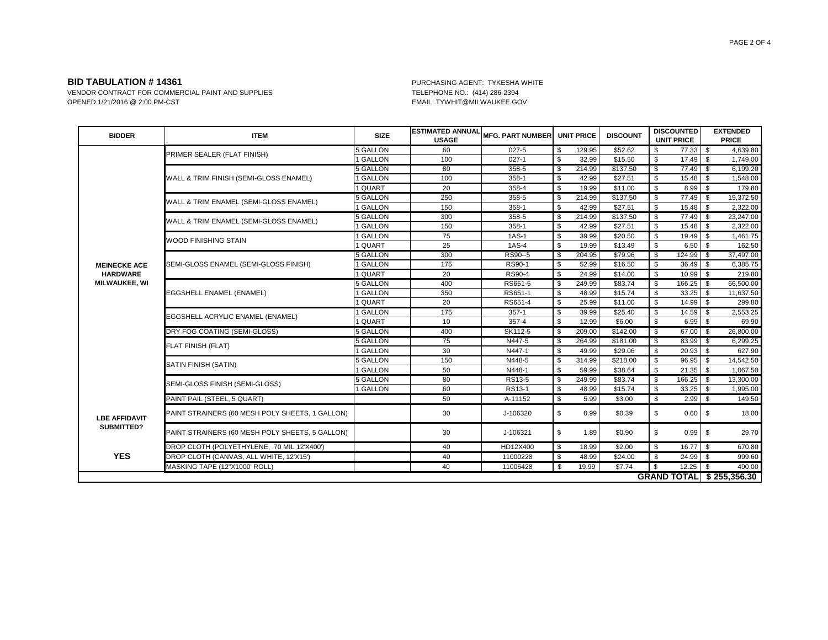VENDOR CONTRACT FOR COMMERCIAL PAINT AND SUPPLIES<br>OPENED 1/21/2016 @ 2:00 PM-CST CONTRACT AND SUPPLIES TELEPHONE NO.: (414) 286-2394

EMAIL: TYWHIT@MILWAUKEE.GOV

| <b>BIDDER</b>                      | <b>ITEM</b>                                     | <b>SIZE</b>     | <b>ESTIMATED ANNUAL</b><br><b>USAGE</b> | <b>MFG. PART NUMBER</b> |                           | <b>UNIT PRICE</b> | <b>DISCOUNT</b> |    | <b>DISCOUNTED</b><br><b>UNIT PRICE</b> |          | <b>EXTENDED</b><br><b>PRICE</b> |
|------------------------------------|-------------------------------------------------|-----------------|-----------------------------------------|-------------------------|---------------------------|-------------------|-----------------|----|----------------------------------------|----------|---------------------------------|
|                                    | PRIMER SEALER (FLAT FINISH)                     | <b>5 GALLON</b> | 60                                      | $027 - 5$               | \$                        | 129.95            | \$52.62         | \$ | 77.33 \$                               |          | 4,639.80                        |
|                                    |                                                 | 1 GALLON        | 100                                     | $027 - 1$               | \$                        | 32.99             | \$15.50         | \$ | $17.49$ \$                             |          | 1,749.00                        |
|                                    |                                                 | <b>5 GALLON</b> | 80                                      | 358-5                   | $\overline{\mathcal{S}}$  | 214.99            | \$137.50        | \$ | $77.49$ \ \$                           |          | 6,199.20                        |
|                                    | WALL & TRIM FINISH (SEMI-GLOSS ENAMEL)          | 1 GALLON        | 100                                     | 358-1                   | \$                        | 42.99             | \$27.51         | \$ | 15.48                                  | \$       | 1,548.00                        |
|                                    |                                                 | 1 QUART         | 20                                      | 358-4                   | \$                        | 19.99             | \$11.00         | \$ | 8.99                                   | \$       | 179.80                          |
|                                    | WALL & TRIM ENAMEL (SEMI-GLOSS ENAMEL)          | <b>5 GALLON</b> | 250                                     | $358 - 5$               | $\boldsymbol{\mathsf{s}}$ | 214.99            | \$137.50        | \$ | $77.49$ \ \$                           |          | 19,372.50                       |
|                                    |                                                 | 1 GALLON        | 150                                     | 358-1                   | \$                        | 42.99             | \$27.51         | \$ | 15.48                                  | l \$     | 2,322.00                        |
|                                    | WALL & TRIM ENAMEL (SEMI-GLOSS ENAMEL)          | <b>5 GALLON</b> | 300                                     | 358-5                   | \$                        | 214.99            | \$137.50        | \$ | $77.49$ \ \$                           |          | 23,247.00                       |
|                                    |                                                 | 1 GALLON        | 150                                     | 358-1                   | \$                        | 42.99             | \$27.51         | \$ | 15.48                                  | ls.      | 2,322.00                        |
|                                    | <b>WOOD FINISHING STAIN</b>                     | 1 GALLON        | 75                                      | $1AS-1$                 | \$                        | 39.99             | \$20.50         | \$ | $19.49$ \$                             |          | 1,461.75                        |
|                                    |                                                 | 1 QUART         | 25                                      | 1AS-4                   | \$                        | 19.99             | \$13.49         | \$ | $6.50$ \$                              |          | 162.50                          |
|                                    | SEMI-GLOSS ENAMEL (SEMI-GLOSS FINISH)           | <b>5 GALLON</b> | 300                                     | RS90--5                 | $\overline{\mathcal{S}}$  | 204.95            | \$79.96         | \$ | $124.99$ \$                            |          | 37,497.00                       |
| <b>MEINECKE ACE</b>                |                                                 | 1 GALLON        | 175                                     | RS90-1                  | \$                        | 52.99             | \$16.50         | \$ | 36.49                                  | \$       | 6,385.75                        |
| <b>HARDWARE</b>                    |                                                 | 1 QUART         | 20                                      | RS90-4                  | \$                        | 24.99             | \$14.00         | \$ | $10.99$ \$                             |          | 219.80                          |
| <b>MILWAUKEE, WI</b>               | EGGSHELL ENAMEL (ENAMEL)                        | <b>5 GALLON</b> | 400                                     | RS651-5                 | \$                        | 249.99            | \$83.74         | \$ | 166.25                                 | \$       | 66,500.00                       |
|                                    |                                                 | 1 GALLON        | 350                                     | RS651-1                 | \$                        | 48.99             | \$15.74         | \$ | 33.25                                  | \$       | 11,637.50                       |
|                                    |                                                 | 1 QUART         | 20                                      | RS651-4                 | \$                        | 25.99             | \$11.00         | \$ | 14.99                                  | <b>S</b> | 299.80                          |
|                                    | EGGSHELL ACRYLIC ENAMEL (ENAMEL)                | 1 GALLON        | 175                                     | $357 - 1$               | \$                        | 39.99             | \$25.40         | \$ | $14.59$ \$                             |          | 2,553.25                        |
|                                    |                                                 | 1 QUART         | 10                                      | 357-4                   | $$\mathbb{S}$$            | 12.99             | \$6.00          | \$ | $6.99$ \$                              |          | 69.90                           |
|                                    | DRY FOG COATING (SEMI-GLOSS)                    | 5 GALLON        | 400                                     | SK112-5                 | \$                        | 209.00            | \$142.00        | \$ | 67.00 \$                               |          | 26,800.00                       |
|                                    | FLAT FINISH (FLAT)                              | <b>5 GALLON</b> | 75                                      | N447-5                  | \$                        | 264.99            | \$181.00        | \$ | $83.99$ \$                             |          | 6,299.25                        |
|                                    |                                                 | 1 GALLON        | 30                                      | N447-1                  | \$                        | 49.99             | \$29.06         | \$ | $20.93$ \$                             |          | 627.90                          |
|                                    | SATIN FINISH (SATIN)                            | <b>5 GALLON</b> | 150                                     | N448-5                  | $\overline{\mathcal{S}}$  | 314.99            | \$218.00        | \$ | $96.95$ \$                             |          | 14,542.50                       |
|                                    |                                                 | 1 GALLON        | 50                                      | N448-1                  | \$                        | 59.99             | \$38.64         | \$ | $21.35$ \$                             |          | 1,067.50                        |
|                                    | SEMI-GLOSS FINISH (SEMI-GLOSS)                  | <b>5 GALLON</b> | 80                                      | RS13-5                  | $\overline{\mathcal{S}}$  | 249.99            | \$83.74         | \$ | $166.25$ \$                            |          | 13,300.00                       |
|                                    |                                                 | 1 GALLON        | 60                                      | RS13-1                  | \$                        | 48.99             | \$15.74         | \$ | 33.25                                  | - \$     | 1,995.00                        |
|                                    | PAINT PAIL (STEEL, 5 QUART)                     |                 | 50                                      | A-11152                 | \$                        | 5.99              | \$3.00          | \$ | $2.99$ \$                              |          | 149.50                          |
| <b>LBE AFFIDAVIT</b><br>SUBMITTED? | PAINT STRAINERS (60 MESH POLY SHEETS, 1 GALLON) |                 | 30                                      | J-106320                | \$                        | 0.99              | \$0.39          | \$ | 0.60                                   | <b>S</b> | 18.00                           |
|                                    | PAINT STRAINERS (60 MESH POLY SHEETS, 5 GALLON) |                 | 30                                      | J-106321                | \$                        | 1.89              | \$0.90          | \$ | 0.99                                   | \$       | 29.70                           |
|                                    | DROP CLOTH (POLYETHYLENE, .70 MIL 12'X400')     |                 | 40                                      | HD12X400                | \$                        | 18.99             | \$2.00          | \$ | $16.77$ \$                             |          | 670.80                          |
| <b>YES</b>                         | DROP CLOTH (CANVAS, ALL WHITE, 12'X15')         |                 | 40                                      | 11000228                | \$                        | 48.99             | \$24.00         | \$ | $24.99$ \$                             |          | 999.60                          |
|                                    | MASKING TAPE (12"X1000' ROLL)                   |                 | 40                                      | 11006428                | \$                        | 19.99             | \$7.74          | S. |                                        |          | 490.00                          |
|                                    |                                                 |                 |                                         |                         |                           |                   |                 |    |                                        |          | <b>GRAND TOTAL \$255,356.30</b> |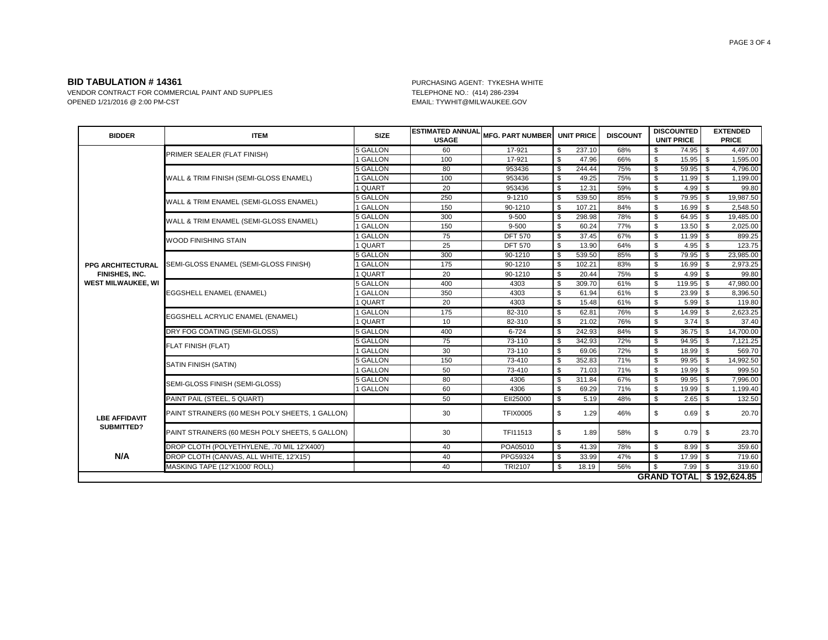VENDOR CONTRACT FOR COMMERCIAL PAINT AND SUPPLIES<br>OPENED 1/21/2016 @ 2:00 PM-CST CONTRACT AND SUPPLIES TELEPHONE NO.: (414) 286-2394

EMAIL: TYWHIT@MILWAUKEE.GOV

| <b>BIDDER</b>                      | <b>ITEM</b>                                     | <b>SIZE</b>     | <b>ESTIMATED ANNUAL</b><br><b>USAGE</b> | <b>MFG. PART NUMBER</b> |                          | <b>UNIT PRICE</b> | <b>DISCOUNT</b> |    | <b>DISCOUNTED</b><br><b>UNIT PRICE</b> |          | <b>EXTENDED</b><br><b>PRICE</b> |
|------------------------------------|-------------------------------------------------|-----------------|-----------------------------------------|-------------------------|--------------------------|-------------------|-----------------|----|----------------------------------------|----------|---------------------------------|
|                                    | PRIMER SEALER (FLAT FINISH)                     | 5 GALLON        | 60                                      | 17-921                  | \$                       | 237.10            | 68%             | \$ | 74.95 \$                               |          | 4,497.00                        |
|                                    |                                                 | 1 GALLON        | 100                                     | 17-921                  | \$                       | 47.96             | 66%             | \$ | 15.95                                  | <b>S</b> | 1,595.00                        |
|                                    |                                                 | <b>5 GALLON</b> | 80                                      | 953436                  | \$                       | 244.44            | 75%             | \$ | 59.95                                  | \$       | 4,796.00                        |
|                                    | WALL & TRIM FINISH (SEMI-GLOSS ENAMEL)          | 1 GALLON        | 100                                     | 953436                  | \$                       | 49.25             | 75%             | \$ | 11.99                                  | \$       | 1,199.00                        |
|                                    |                                                 | 1 QUART         | 20                                      | 953436                  | \$                       | 12.31             | 59%             | \$ | 4.99                                   | <b>S</b> | 99.80                           |
|                                    | WALL & TRIM ENAMEL (SEMI-GLOSS ENAMEL)          | 5 GALLON        | 250                                     | $9 - 1210$              | $\overline{\mathcal{S}}$ | 539.50            | 85%             | \$ | $79.95$ \$                             |          | 19,987.50                       |
|                                    |                                                 | 1 GALLON        | 150                                     | 90-1210                 | \$                       | 107.21            | 84%             | \$ | 16.99                                  | \$       | 2,548.50                        |
|                                    | WALL & TRIM ENAMEL (SEMI-GLOSS ENAMEL)          | <b>5 GALLON</b> | 300                                     | 9-500                   | \$                       | 298.98            | 78%             | \$ | $64.95$ \$                             |          | 19,485.00                       |
|                                    |                                                 | 1 GALLON        | 150                                     | $9 - 500$               | \$                       | 60.24             | 77%             | \$ | 13.50                                  | l \$     | 2,025.00                        |
|                                    | <b>WOOD FINISHING STAIN</b>                     | 1 GALLON        | 75                                      | <b>DFT 570</b>          | \$                       | 37.45             | 67%             | \$ | $11.99$ \$                             |          | 899.25                          |
|                                    |                                                 | 1 QUART         | 25                                      | <b>DFT 570</b>          | \$                       | 13.90             | 64%             | \$ | $4.95$ \$                              |          | 123.75                          |
|                                    | SEMI-GLOSS ENAMEL (SEMI-GLOSS FINISH)           | <b>5 GALLON</b> | 300                                     | 90-1210                 | $\overline{\mathcal{S}}$ | 539.50            | 85%             | \$ | $79.95$ \$                             |          | 23,985.00                       |
| <b>PPG ARCHITECTURAL</b>           |                                                 | 1 GALLON        | 175                                     | 90-1210                 | \$                       | 102.21            | 83%             | \$ | 16.99                                  | \$       | 2,973.25                        |
| <b>FINISHES, INC.</b>              |                                                 | 1 QUART         | 20                                      | 90-1210                 | \$                       | 20.44             | 75%             | \$ | $4.99$ \$                              |          | 99.80                           |
| <b>WEST MILWAUKEE, WI</b>          | EGGSHELL ENAMEL (ENAMEL)                        | <b>5 GALLON</b> | 400                                     | 4303                    | \$                       | 309.70            | 61%             | \$ | 119.95                                 | \$       | 47,980.00                       |
|                                    |                                                 | 1 GALLON        | 350                                     | 4303                    | \$                       | 61.94             | 61%             | \$ | 23.99                                  | \$       | 8,396.50                        |
|                                    |                                                 | 1 QUART         | 20                                      | 4303                    | \$                       | 15.48             | 61%             | \$ | 5.99                                   | ls.      | 119.80                          |
|                                    | EGGSHELL ACRYLIC ENAMEL (ENAMEL)                | 1 GALLON        | 175                                     | 82-310                  | \$                       | 62.81             | 76%             | \$ | $14.99$ \$                             |          | 2,623.25                        |
|                                    |                                                 | 1 QUART         | 10                                      | 82-310                  | $$\mathbb{S}$$           | 21.02             | 76%             | \$ | 3.74                                   | \$       | 37.40                           |
|                                    | DRY FOG COATING (SEMI-GLOSS)                    | 5 GALLON        | 400                                     | $6 - 724$               | \$                       | 242.93            | 84%             | \$ | $36.75$ \$                             |          | 14,700.00                       |
|                                    | FLAT FINISH (FLAT)                              | <b>5 GALLON</b> | 75                                      | 73-110                  | \$                       | 342.93            | 72%             | \$ | $94.95$ \$                             |          | 7,121.25                        |
|                                    |                                                 | 1 GALLON        | 30                                      | 73-110                  | \$                       | 69.06             | 72%             | \$ | 18.99                                  | l s      | 569.70                          |
|                                    | SATIN FINISH (SATIN)                            | <b>5 GALLON</b> | 150                                     | 73-410                  | $\overline{\mathcal{S}}$ | 352.83            | 71%             | \$ | $99.95$ \$                             |          | 14,992.50                       |
|                                    |                                                 | 1 GALLON        | 50                                      | 73-410                  | \$                       | 71.03             | 71%             | \$ | 19.99                                  | l \$     | 999.50                          |
|                                    | SEMI-GLOSS FINISH (SEMI-GLOSS)                  | <b>5 GALLON</b> | 80                                      | 4306                    | $\overline{\mathcal{S}}$ | 311.84            | 67%             | \$ | $99.95$ \$                             |          | 7,996.00                        |
|                                    |                                                 | 1 GALLON        | 60                                      | 4306                    | \$                       | 69.29             | 71%             | \$ | 19.99                                  | - \$     | 1,199.40                        |
|                                    | PAINT PAIL (STEEL, 5 QUART)                     |                 | 50                                      | EII25000                | \$                       | 5.19              | 48%             | \$ | $2.65$ \$                              |          | 132.50                          |
| <b>LBE AFFIDAVIT</b><br>SUBMITTED? | PAINT STRAINERS (60 MESH POLY SHEETS, 1 GALLON) |                 | 30                                      | <b>TFIX0005</b>         | \$                       | 1.29              | 46%             | \$ | 0.69                                   | - \$     | 20.70                           |
|                                    | PAINT STRAINERS (60 MESH POLY SHEETS, 5 GALLON) |                 | 30                                      | TFI11513                | \$                       | 1.89              | 58%             | \$ | 0.79                                   | \$       | 23.70                           |
| N/A                                | DROP CLOTH (POLYETHYLENE, .70 MIL 12'X400')     |                 | 40                                      | POA05010                | \$                       | 41.39             | 78%             | \$ | $8.99$ \$                              |          | 359.60                          |
|                                    | DROP CLOTH (CANVAS, ALL WHITE, 12'X15')         |                 | 40                                      | PPG59324                | \$                       | 33.99             | 47%             | \$ | 17.99 \$                               |          | 719.60                          |
|                                    | MASKING TAPE (12"X1000' ROLL)                   |                 | 40                                      | TRI2107                 | \$                       | 18.19             | 56%             | S. | $7.99$ \$                              |          | 319.60                          |
|                                    |                                                 |                 |                                         |                         |                          |                   |                 |    |                                        |          | <b>GRAND TOTAL \$192,624.85</b> |